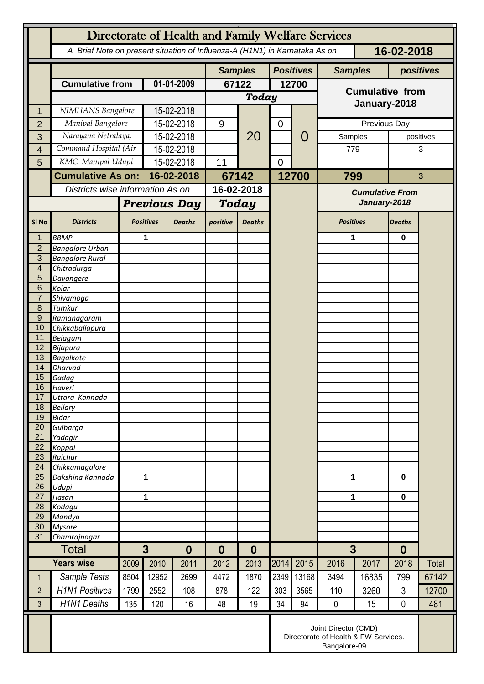|                                      | Directorate of Health and Family Welfare Services                                        |                       |                     |                  |                                                                              |               |                  |                        |                        |              |                  |              |
|--------------------------------------|------------------------------------------------------------------------------------------|-----------------------|---------------------|------------------|------------------------------------------------------------------------------|---------------|------------------|------------------------|------------------------|--------------|------------------|--------------|
|                                      | A Brief Note on present situation of Influenza-A (H1N1) in Karnataka As on<br>16-02-2018 |                       |                     |                  |                                                                              |               |                  |                        |                        |              |                  |              |
|                                      |                                                                                          |                       |                     |                  | <b>Samples</b>                                                               |               | <b>Positives</b> |                        | <b>Samples</b>         |              | positives        |              |
|                                      | <b>Cumulative from</b>                                                                   |                       | 01-01-2009          |                  | 67122                                                                        |               | 12700            |                        | <b>Cumulative from</b> |              |                  |              |
|                                      |                                                                                          |                       |                     |                  | Today                                                                        |               |                  |                        |                        |              |                  |              |
| 1                                    | NIMHANS Bangalore                                                                        |                       | 15-02-2018          |                  |                                                                              |               |                  |                        |                        | January-2018 |                  |              |
| $\overline{2}$                       |                                                                                          | Manipal Bangalore     |                     | 15-02-2018       |                                                                              | 20            | $\mathbf 0$      | O                      | Previous Day           |              |                  |              |
| 3                                    | Narayana Netralaya,                                                                      |                       | 15-02-2018          |                  |                                                                              |               |                  |                        | Samples                |              |                  | positives    |
| 4                                    |                                                                                          | Command Hospital (Air |                     | 15-02-2018       |                                                                              |               |                  |                        |                        | 779          |                  | 3            |
| 5                                    |                                                                                          | KMC Manipal Udupi     |                     | 15-02-2018       |                                                                              |               | $\overline{0}$   |                        |                        |              |                  |              |
|                                      | <b>Cumulative As on:</b>                                                                 |                       | 16-02-2018          |                  |                                                                              | 67142         |                  | 12700                  | 799                    |              |                  | $\mathbf{3}$ |
|                                      | Districts wise information As on                                                         |                       |                     | 16-02-2018       |                                                                              |               |                  | <b>Cumulative From</b> |                        |              |                  |              |
|                                      |                                                                                          |                       | <b>Previous Day</b> |                  | Today                                                                        |               |                  |                        | January-2018           |              |                  |              |
| SI <sub>No</sub>                     | <b>Districts</b>                                                                         |                       | <b>Positives</b>    | <b>Deaths</b>    | positive                                                                     | <b>Deaths</b> |                  |                        | <b>Positives</b>       |              | <b>Deaths</b>    |              |
| 1                                    | <b>BBMP</b>                                                                              |                       | 1                   |                  |                                                                              |               |                  |                        | 1                      |              | $\mathbf 0$      |              |
| $\overline{2}$<br>3                  | <b>Bangalore Urban</b><br><b>Bangalore Rural</b>                                         |                       |                     |                  |                                                                              |               |                  |                        |                        |              |                  |              |
| $\overline{\mathbf{4}}$              | Chitradurga                                                                              |                       |                     |                  |                                                                              |               |                  |                        |                        |              |                  |              |
| 5                                    | Davangere                                                                                |                       |                     |                  |                                                                              |               |                  |                        |                        |              |                  |              |
| 6                                    | Kolar                                                                                    |                       |                     |                  |                                                                              |               |                  |                        |                        |              |                  |              |
| $\overline{7}$                       | Shivamoga                                                                                |                       |                     |                  |                                                                              |               |                  |                        |                        |              |                  |              |
| $\boldsymbol{8}$<br>$\boldsymbol{9}$ | Tumkur<br>Ramanagaram                                                                    |                       |                     |                  |                                                                              |               |                  |                        |                        |              |                  |              |
| 10                                   | Chikkaballapura                                                                          |                       |                     |                  |                                                                              |               |                  |                        |                        |              |                  |              |
| 11                                   | Belagum                                                                                  |                       |                     |                  |                                                                              |               |                  |                        |                        |              |                  |              |
| 12                                   | Bijapura                                                                                 |                       |                     |                  |                                                                              |               |                  |                        |                        |              |                  |              |
| 13                                   | <b>Bagalkote</b>                                                                         |                       |                     |                  |                                                                              |               |                  |                        |                        |              |                  |              |
| 14<br>15                             | Dharvad<br>Gadag                                                                         |                       |                     |                  |                                                                              |               |                  |                        |                        |              |                  |              |
| 16                                   | Haveri                                                                                   |                       |                     |                  |                                                                              |               |                  |                        |                        |              |                  |              |
| 17                                   | Uttara Kannada                                                                           |                       |                     |                  |                                                                              |               |                  |                        |                        |              |                  |              |
| 18                                   | <b>Bellary</b>                                                                           |                       |                     |                  |                                                                              |               |                  |                        |                        |              |                  |              |
| 19                                   | <b>Bidar</b>                                                                             |                       |                     |                  |                                                                              |               |                  |                        |                        |              |                  |              |
| 20<br>21                             | Gulbarga<br>Yadagir                                                                      |                       |                     |                  |                                                                              |               |                  |                        |                        |              |                  |              |
| 22                                   | Koppal                                                                                   |                       |                     |                  |                                                                              |               |                  |                        |                        |              |                  |              |
| 23                                   | Raichur                                                                                  |                       |                     |                  |                                                                              |               |                  |                        |                        |              |                  |              |
| 24                                   | Chikkamagalore                                                                           |                       |                     |                  |                                                                              |               |                  |                        |                        |              |                  |              |
| 25                                   | Dakshina Kannada                                                                         | 1                     |                     |                  |                                                                              |               |                  |                        | 1                      |              | 0                |              |
| 26<br>27                             | Udupi<br>Hasan                                                                           | 1                     |                     |                  |                                                                              |               |                  |                        | 1                      |              | $\mathbf 0$      |              |
| 28                                   | Kodagu                                                                                   |                       |                     |                  |                                                                              |               |                  |                        |                        |              |                  |              |
| 29                                   | Mandya                                                                                   |                       |                     |                  |                                                                              |               |                  |                        |                        |              |                  |              |
| 30                                   | <b>Mysore</b>                                                                            |                       |                     |                  |                                                                              |               |                  |                        |                        |              |                  |              |
| 31                                   | Chamrajnagar<br>$\overline{3}$                                                           |                       |                     |                  |                                                                              |               |                  | $\overline{3}$         |                        |              |                  |              |
|                                      | Total                                                                                    |                       |                     | $\boldsymbol{0}$ | $\boldsymbol{0}$<br>$\boldsymbol{0}$                                         |               |                  |                        |                        |              | $\boldsymbol{0}$ |              |
|                                      | <b>Years wise</b>                                                                        | 2009                  | 2010                | 2011             | 2012                                                                         | 2013          | 2014             | 2015                   | 2016                   | 2017         | 2018             | <b>Total</b> |
| $\mathbf{1}$                         | Sample Tests                                                                             | 8504                  | 12952               | 2699             | 4472                                                                         | 1870          | 2349             | 13168                  | 3494                   | 16835        | 799              | 67142        |
| $\overline{2}$                       | <b>H1N1 Positives</b>                                                                    | 1799                  | 2552                | 108              | 878                                                                          | 122           | 303              | 3565                   | 110                    | 3260         | 3                | 12700        |
| 3                                    | <b>H1N1 Deaths</b>                                                                       | 135                   | 120                 | 16               | 48                                                                           | 19            | 34               | 94                     | $\pmb{0}$              | 15           | 0                | 481          |
|                                      |                                                                                          |                       |                     |                  | Joint Director (CMD)<br>Directorate of Health & FW Services.<br>Bangalore-09 |               |                  |                        |                        |              |                  |              |